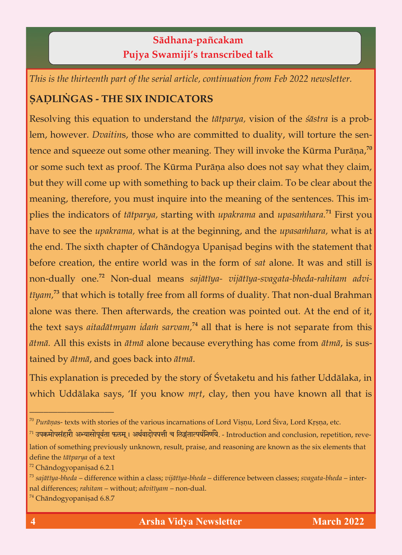## **Sädhana**-**païcakam Pujya Swamiji's transcribed talk**

*This is the thirteenth part of the serial article, continuation from Feb 2022 newsletter.*

## **ÑAÒLIÌGAS - THE SIX INDICATORS**

Resolving this equation to understand the *tātparya*, vision of the *śāstra* is a prob-<br>lem, however. *Dvaitins*, those who are committed to duality, will torture the senlem, however. *Dvaitin*s, those who are committed to duality, will torture the sentence and squeeze out some other meaning. They will invoke the Kurma Purana, or some such text as proof. The Kūrma Purāņa also does not say what they claim, but they will come up with something to back up their claim. To be clear about the meaning, therefore, you must inquire into the meaning of the sentences. This im- $\alpha$  means in  $\alpha$  must into the meaning of the sentence sentence sentences. The sentences in  $\alpha$ plies the indicators of *tatparya*, starting with *upakrama* and *upasamnara*. First you have to see the *upakrama*, what is at the beginning, and the *upasamhara*, what is at the end. The sixth chapter of Chandogya Upanisad begins with the statement that before creation, the entire world was in the form of  $sat$  alone. It was and still is before creation, the entire world was in the form of *sat* alone. It was and still is non-dually one.**<sup>72</sup>** Non-dual means *sajätéya- vijätéya-svagata-bheda-rahitam advitīyam*,<sup> $73$ </sup> that which is totally free from all forms of duality. That non-dual Brahman alone was there. Then afterwards, the creation was pointed out. At the end of it, alone was the creation was pointed out. The creation was pointed out. At the end of it,  $\mathbf{H}$ the text says *aitadatmyam idam sarvam*, <sup>7</sup> all that is here is not separate from this *ätmä.* All this exists in *ätmä* alone because everything has come from *ätmä*, is sustained by *ätmä*, and goes back into *ätmä*.

 $T$  is explanation is preceded by the story of  $\mathcal{L}$  is father Uddälaka, in  $\mathcal{L}$ which Uddälaka says, 'If you know *måt*, clay, then you have known all that is

\_\_\_\_\_\_\_\_\_\_\_\_\_\_\_\_\_\_

<sup>&</sup>lt;sup>70</sup> Purāņas- texts with stories of the various incarnations of Lord Vișnu, Lord Śiva, Lord Krșņa, etc.

<sup>&</sup>lt;sup>71</sup> उपक्रमोपसंहारोे अभ्यासोपूर्वता फलम्। अर्थवादोपपत्ती च लिङ्गतात्पर्यनिर्णये. - Introduction and conclusion, repetition, reve-<br>lation of something previously unknown, result, praise, and reasoning are known as the six define the tātparya of a text

define the *tätparya* of a text Chandogyopanișad 6.2.1<br><sup>73</sup> existius blode - difference

<sup>73</sup> *sajätéya-bheda* – difference within a class; *vijätéya-bheda* – difference between classes; *svagata-bheda* – internal differences; *rahitam* – without; *advitéyam* – non-dual.

Chandogyopanișad 6.8.7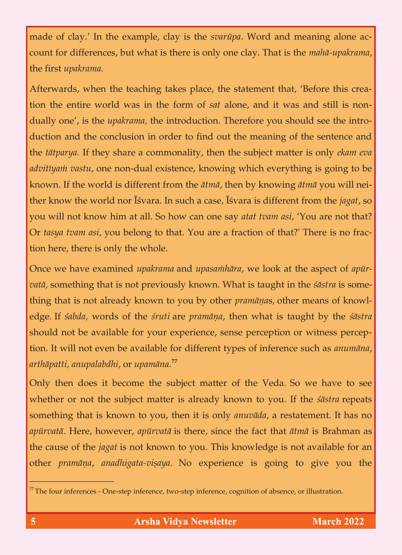made of clay.' In the example, clay is the *svarūpa*. Word and meaning alone account for differences, but what is there is only one clay. That is the *mahā-upakrama*, count for differences, but what is there is only one clay. That is the *mahä-upakrama*, the first *upakrama.*

Afterwards, when the teaching takes place, the statement that, 'Before this creation the entire world was in the form of *sat* alone, and it was and still is nondually one', is the *upakrama*, the introduction. Therefore you should see the introduction and the conclusion in order to find out the meaning of the sentence and the *tātparya*. If they share a commonality, then the subject matter is only *ekam eva advitiyam vastu,* one non-dual existence, knowing which everything is going to be *advitéyaà vastu*, one non-dual existence, knowing which everything is going to be known. If the world is different from the *ätmä*, then by knowing *ätmä* you will neither know the world nor Īśvara. In such a case, Īśvara is different from the *jagat*, so<br>you will not know him at all. So how can one say *atat tvam asi*, 'You are not that? you will not know him at all. So how can one say *atat tvam asi*, 'You are not that? Or *tasya tvam asi*, you belong to that. You are a fraction of that?' There is no fraction here, there is only the whole.

Once we have examined *upakrama* and *upasanhāra*, we look at the aspect of *apūr-*<br>*vatā*, something that is not previously known. What is taught in the *śāstra* is something that is not already known to you by other *pramānas*, other means of knowledge. If *sabda*, words of the *sruti* are *pramāna*, then what is taught by the *sāstra* should not be available for your experience, sense perception or witness percepshown be available for  $\mathbf{r}$  and  $\mathbf{r}$  are  $\mathbf{r}$  experience, sense perception or  $\mathbf{r}$ tion. It will not even be available for different types of inference such as *anumäna*, *arthäpatti, anupalabdhi*, or *upamäna.***<sup>77</sup>**

Only then does it become the subject matter of the Veda. So we have to see whether or not the subject matter is already known to you. If the *śāstra* repeats whether or not the subject matter is already known to you. If the *çästra* repeats something that is known to you, then it is only *anuväda*, a restatement. It has no *apürvatä*. Here, however, *apürvatä* is there, since the fact that *ätmä* is Brahman as the cause of the *jagat* is not known to you. This knowledge is not available for an other *pramāņa, anadhigata-viṣaya*. No experience is going to give you the

\_\_\_\_\_\_\_\_\_\_\_\_\_\_\_\_\_\_

 $^{77}$ The four inferences - One-step inference, two-step inference, cognition of absence, or illustration.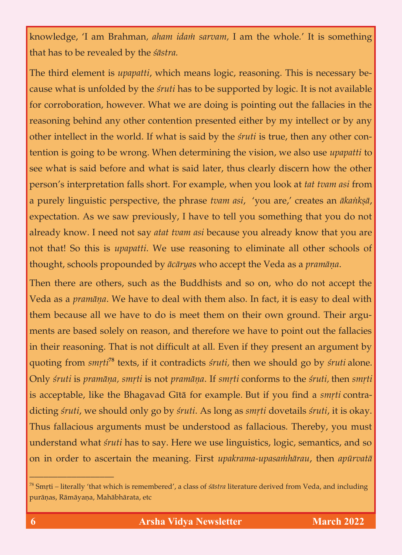knowledge, 'I am Brahman*, aham idaà sarvam,* I am the whole*.*' It is something that has to be revealed by the *çästra.*

The third element is *upapatti*, which means logic, reasoning. This is necessary be-<br>cause what is unfolded by the *śruti* has to be supported by logic. It is not available for corroboration, however. What we are doing is pointing out the fallacies in the reasoning behind any other contention presented either by my intellect or by any other intellect in the world. If what is said by the *sruti* is true, then any other contention is going to be wrong. When determining the vision, we also use *upapatti* to see what is said before and what is said later, thus clearly discern how the other person's interpretation falls short. For example, when you look at tat tvam asi from a purely linguistic perspective, the phrase tvam asi, 'you are,' creates an *ākank* sā, expectation. As we saw previously, I have to tell you something that you do not already know. I need not say *atat tvam asi* because you already know that you are not that! So this is *upapatti*. We use reasoning to eliminate all other schools of not that! So this is *upapatti*. We use reasoning to eliminate all other schools of thought, schools propounded by *äcärya*s who accept the Veda as a *pramäëa*.

Then there are others, such as the Buddhists and so on, who do not accept the Veda as a *pramāna*. We have to deal with them also. In fact, it is easy to deal with them because all we have to do is meet them on their own ground. Their arguments are based solely on reason, and therefore we have to point out the fallacies in their reasoning. That is not difficult at all. Even if they present an argument by  $\sigma$  reasoning. The is not different at all. Even if they present at  $\sigma$ quoting from *småti***<sup>78</sup>** texts, if it contradicts *çruti,* then we should go by *çruti* alone. Only *śruti* is *pramāņa, smṛti* is not *pramāṇa*. If *smṛti* conforms to the *śruti*, then *smṛti* is acceptable, like the Bhagavad Gītā for example. But if you find a *smṛti* contradicting *śruti*, we should only go by *śruti*. As long as *smrti* dovetails *śruti*, it is okay. Thus fallacious arguments must be understood as fallacious. Thereby, you must understand what *śruti* has to say. Here we use linguistics, logic, semantics, and so understand what *çruti* has to say. Here we use linguistics, logic, semantics, and so on in order to ascertain the meaning. First *upakrama-upasaàhärau*, then *apürvatä* 

 $\overline{\phantom{a}}$  , and the set of the set of the set of the set of the set of the set of the set of the set of the set of the set of the set of the set of the set of the set of the set of the set of the set of the set of the s

<sup>&</sup>lt;sup>78</sup> Smrti – literally 'that which is remembered', a class of *śāstra* literature derived from Veda, and including purāņas, Rāmāyaņa, Mahābhārata, etc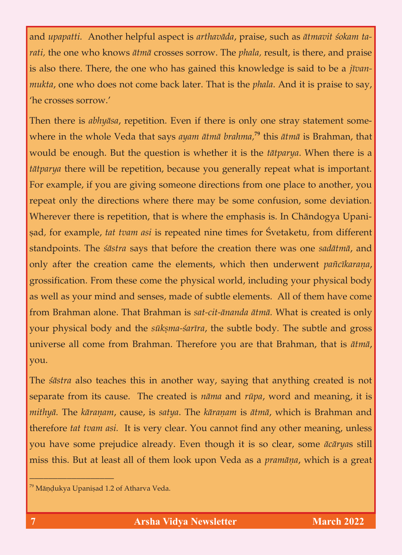and *upapatti*. Another helpful aspect is *arthavāda*, praise, such as *ātmavit śokam ta-*<br>*rati*, the one who knows *ātmā* crosses sorrow. The *phala*, result, is there, and praise *is* also there. There, the one who has gained this knowledge is said to be a *jīvan*mukta, one who does not come back later. That is the *phala*. And it is praise to say, *mukta*, one who does not come back later. That is the *phala*. And it is praise to say,

Then there is *abhyäsa*, repetition. Even if there is only one stray statement somewhere in the whole Veda that says *ayam ätmä brahma,***<sup>79</sup>** this *ätmä* is Brahman, that would be enough. But the question is whether it is the *tätparya*. When there is a For example, if you are giving someone directions from one place to another, you repeat only the directions where there may be some confusion, some deviation. Wherever there is repetition, that is where the emphasis is. In Chandogya Upani-Where is repetitive there is repetitive is repetitive in  $\mathcal{U}$  and  $\mathcal{U}$  upani- $\mathcal{U}$ ñad*,* for example, *tat tvam asi* is repeated nine times for Çvetaketu*,* from different standpoints. The *śāstra* says that before the creation there was one *sadātmā*, and only after the creation came the elements, which then underwent *pañcīkaraṇa*, grossification. From these come the physical world, including your physical body as well as your mind and senses, made of subtle elements. All of them have come from Brahman alone. That Brahman is  $sat\text{-}cit\text{-}\bar{a}n$  and  $at\text{m}\bar{a}$ . What is created is only your physical body and the *sūkṣma-śarīra*, the subtle body. The subtle and gross your physical body and the *sükñma-çaréra*, the subtle body*.* The subtle and gross universe all come from Brahman. Therefore you are that Brahman, that is *ätmä*, you.

The *çästra* also teaches this in another way, saying that anything created is not separate from its cause. The created is *näma* and *rüpa*, word and meaning, it is *mithyā*. The *kāraņam,* cause, is *satya*. The *kāraṇam* is *ātmā*, which is Brahman and therefore *tat tvam asi.* It is very clear. You cannot find any other meaning, unless you have some prejudice already. Even though it is so clear, some *äcärya*s still miss this. But at least all of them look upon Veda as a *pramāņa*, which is a great

\_\_\_\_\_\_\_\_\_\_\_\_\_\_\_\_\_\_

<sup>&</sup>lt;sup>79</sup> Māņdukya Upaniṣad 1.2 of Atharva Veda.